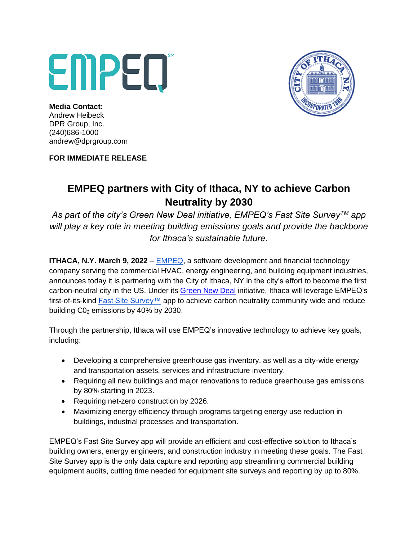## EMPED



**Media Contact:** Andrew Heibeck DPR Group, Inc. (240)686-1000 andrew@dprgroup.com

**FOR IMMEDIATE RELEASE**

## **EMPEQ partners with City of Ithaca, NY to achieve Carbon Neutrality by 2030**

*As part of the city's Green New Deal initiative, EMPEQ's Fast Site SurveyTM app will play a key role in meeting building emissions goals and provide the backbone for Ithaca's sustainable future.*

**ITHACA, N.Y. March 9, 2022** – **EMPEQ**, a software development and financial technology company serving the commercial HVAC, energy engineering, and building equipment industries, announces today it is partnering with the City of Ithaca, NY in the city's effort to become the first carbon-neutral city in the US. Under its [Green New Deal](https://ithacagreennewdeal.org/) initiative, Ithaca will leverage EMPEQ's first-of-its-kind Fast Site Survey™ app to achieve carbon neutrality community wide and reduce building  $CO<sub>2</sub>$  emissions by 40% by 2030.

Through the partnership, Ithaca will use EMPEQ's innovative technology to achieve key goals, including:

- Developing a comprehensive greenhouse gas inventory, as well as a city-wide energy and transportation assets, services and infrastructure inventory.
- Requiring all new buildings and major renovations to reduce greenhouse gas emissions by 80% starting in 2023.
- Requiring net-zero construction by 2026.
- Maximizing energy efficiency through programs targeting energy use reduction in buildings, industrial processes and transportation.

EMPEQ's Fast Site Survey app will provide an efficient and cost-effective solution to Ithaca's building owners, energy engineers, and construction industry in meeting these goals. The Fast Site Survey app is the only data capture and reporting app streamlining commercial building equipment audits, cutting time needed for equipment site surveys and reporting by up to 80%.